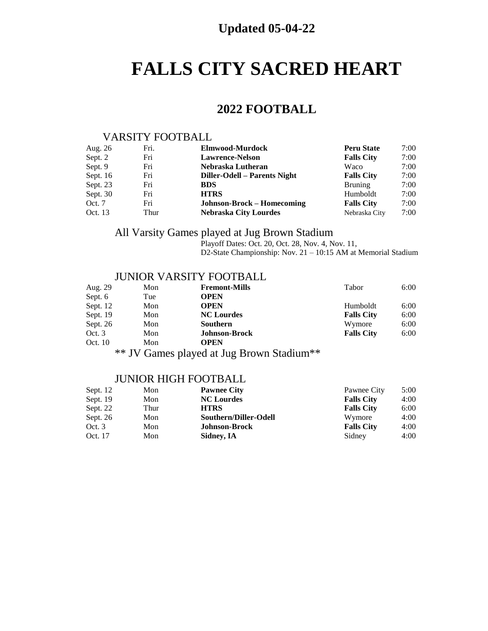## **Updated 05-04-22**

## **FALLS CITY SACRED HEART**

## **2022 FOOTBALL**

#### VARSITY FOOTBALL

| Aug. 26    | Fri. | Elmwood-Murdock                   | <b>Peru State</b> | 7:00 |
|------------|------|-----------------------------------|-------------------|------|
| Sept. 2    | Fri  | <b>Lawrence-Nelson</b>            | <b>Falls City</b> | 7:00 |
| Sept. 9    | Fri  | Nebraska Lutheran                 | Waco              | 7:00 |
| Sept. $16$ | Fri  | Diller-Odell – Parents Night      | <b>Falls City</b> | 7:00 |
| Sept. 23   | Fri  | <b>BDS</b>                        | <b>Bruning</b>    | 7:00 |
| Sept. $30$ | Fri  | <b>HTRS</b>                       | Humboldt          | 7:00 |
| Oct. 7     | Fri  | <b>Johnson-Brock – Homecoming</b> | <b>Falls City</b> | 7:00 |
| Oct. 13    | Thur | <b>Nebraska City Lourdes</b>      | Nebraska City     | 7:00 |

## All Varsity Games played at Jug Brown Stadium

Playoff Dates: Oct. 20, Oct. 28, Nov. 4, Nov. 11, D2-State Championship: Nov. 21 – 10:15 AM at Memorial Stadium

#### JUNIOR VARSITY FOOTBALL

| Aug. 29  | Mon | <b>Fremont-Mills</b> | Tabor             | 6:00 |
|----------|-----|----------------------|-------------------|------|
| Sept. 6  | Tue | <b>OPEN</b>          |                   |      |
| Sept. 12 | Mon | <b>OPEN</b>          | Humboldt          | 6:00 |
| Sept. 19 | Mon | <b>NC Lourdes</b>    | <b>Falls City</b> | 6:00 |
| Sept. 26 | Mon | Southern             | Wymore            | 6:00 |
| Oct. $3$ | Mon | <b>Johnson-Brock</b> | <b>Falls City</b> | 6:00 |
| Oct. 10  | Mon | OPEN                 |                   |      |

\*\* JV Games played at Jug Brown Stadium\*\*

#### JUNIOR HIGH FOOTBALL

| Sept. $12$ | Mon  | <b>Pawnee City</b>    | Pawnee City       | 5:00 |
|------------|------|-----------------------|-------------------|------|
| Sept. 19   | Mon  | <b>NC Lourdes</b>     | <b>Falls City</b> | 4:00 |
| Sept. 22   | Thur | <b>HTRS</b>           | <b>Falls City</b> | 6:00 |
| Sept. 26   | Mon  | Southern/Diller-Odell | Wymore            | 4:00 |
| Oct. $3$   | Mon  | <b>Johnson-Brock</b>  | <b>Falls City</b> | 4:00 |
| Oct. 17    | Mon  | Sidney, IA            | Sidney            | 4:00 |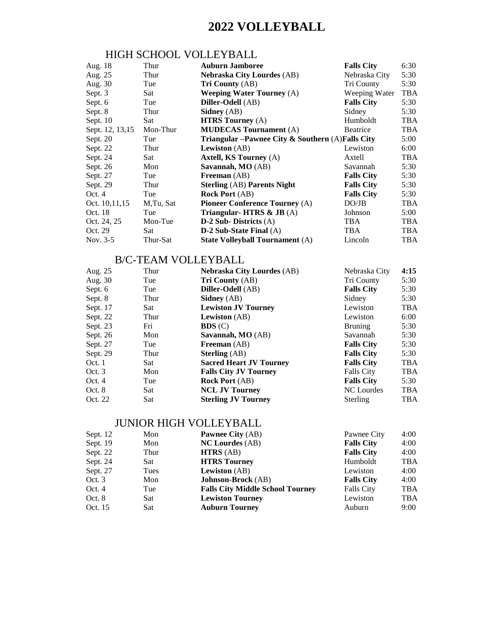## **2022 VOLLEYBALL**

### HIGH SCHOOL VOLLEYBALL

| Aug. 18         | Thur      | <b>Auburn Jamboree</b>                               | <b>Falls City</b> | 6:30       |
|-----------------|-----------|------------------------------------------------------|-------------------|------------|
| Aug. 25         | Thur      | <b>Nebraska City Lourdes (AB)</b>                    | Nebraska City     | 5:30       |
| Aug. 30         | Tue       | <b>Tri County (AB)</b>                               | Tri County        | 5:30       |
| Sept. 3         | Sat       | <b>Weeping Water Tourney (A)</b>                     | Weeping Water     | <b>TBA</b> |
| Sept. 6         | Tue       | Diller-Odell (AB)                                    | <b>Falls City</b> | 5:30       |
| Sept. 8         | Thur      | <b>Sidney</b> (AB)                                   | Sidney            | 5:30       |
| Sept. $10$      | Sat.      | <b>HTRS Tourney</b> (A)                              | Humboldt          | <b>TBA</b> |
| Sept. 12, 13,15 | Mon-Thur  | <b>MUDECAS Tournament</b> (A)                        | <b>Beatrice</b>   | <b>TBA</b> |
| Sept. 20        | Tue       | Triangular – Pawnee City & Southern $(A)$ Falls City |                   | 5:00       |
| Sept. 22        | Thur      | <b>Lewiston</b> (AB)                                 | Lewiston          | 6:00       |
| Sept. 24        | Sat       | <b>Axtell, KS Tourney (A)</b>                        | Axtell            | <b>TBA</b> |
| Sept. 26        | Mon       | Savannah, MO (AB)                                    | Savannah          | 5:30       |
| Sept. 27        | Tue       | <b>Freeman</b> (AB)                                  | <b>Falls City</b> | 5:30       |
| Sept. 29        | Thur      | <b>Sterling (AB) Parents Night</b>                   | <b>Falls City</b> | 5:30       |
| Oct. 4          | Tue       | <b>Rock Port</b> (AB)                                | <b>Falls City</b> | 5:30       |
| Oct. 10,11,15   | M.Tu, Sat | <b>Pioneer Conference Tourney (A)</b>                | DO/JB             | <b>TBA</b> |
| Oct. 18         | Tue       | Triangular-HTRS & JB (A)                             | Johnson           | 5:00       |
| Oct. 24, 25     | Mon-Tue   | $D-2$ Sub-Districts (A)                              | TBA               | <b>TBA</b> |
| Oct. 29         | Sat.      | $D-2$ Sub-State Final $(A)$                          | <b>TBA</b>        | <b>TBA</b> |
| Nov. 3-5        | Thur-Sat  | <b>State Volleyball Tournament (A)</b>               | Lincoln           | <b>TBA</b> |

#### B/C-TEAM VOLLEYBALL

| Aug. 25  | Thur | <b>Nebraska City Lourdes (AB)</b> | Nebraska City     | 4:15       |
|----------|------|-----------------------------------|-------------------|------------|
| Aug. 30  | Tue  | <b>Tri County</b> (AB)            | Tri County        | 5:30       |
| Sept. 6  | Tue  | Diller-Odell (AB)                 | <b>Falls City</b> | 5:30       |
| Sept. 8  | Thur | <b>Sidney</b> (AB)                | Sidney            | 5:30       |
| Sept. 17 | Sat  | <b>Lewiston JV Tourney</b>        | Lewiston          | <b>TBA</b> |
| Sept. 22 | Thur | <b>Lewiston</b> (AB)              | Lewiston          | 6:00       |
| Sept. 23 | Fri  | BDS(C)                            | <b>Bruning</b>    | 5:30       |
| Sept. 26 | Mon  | Savannah, MO (AB)                 | Savannah          | 5:30       |
| Sept. 27 | Tue  | <b>Freeman</b> (AB)               | <b>Falls City</b> | 5:30       |
| Sept. 29 | Thur | <b>Sterling</b> (AB)              | <b>Falls City</b> | 5:30       |
| Oct. 1   | Sat  | <b>Sacred Heart JV Tourney</b>    | <b>Falls City</b> | <b>TBA</b> |
| Oct. 3   | Mon  | <b>Falls City JV Tourney</b>      | <b>Falls City</b> | <b>TBA</b> |
| Oct. 4   | Tue  | <b>Rock Port</b> (AB)             | <b>Falls City</b> | 5:30       |
| Oct. 8   | Sat  | <b>NCL JV Tourney</b>             | NC Lourdes        | <b>TBA</b> |
| Oct. 22  | Sat  | <b>Sterling JV Tourney</b>        | <b>Sterling</b>   | <b>TBA</b> |
|          |      |                                   |                   |            |

### JUNIOR HIGH VOLLEYBALL

| Sept. 12 | Mon  | <b>Pawnee City (AB)</b>                 | Pawnee City       | 4:00       |
|----------|------|-----------------------------------------|-------------------|------------|
| Sept. 19 | Mon  | <b>NC Lourdes</b> (AB)                  | <b>Falls City</b> | 4:00       |
| Sept. 22 | Thur | HTRS(AB)                                | <b>Falls City</b> | 4:00       |
| Sept. 24 | Sat  | <b>HTRS Tourney</b>                     | Humboldt          | <b>TBA</b> |
| Sept. 27 | Tues | <b>Lewiston</b> (AB)                    | Lewiston          | 4:00       |
| Oct.3    | Mon  | <b>Johnson-Brock</b> (AB)               | <b>Falls City</b> | 4:00       |
| Oct. $4$ | Tue  | <b>Falls City Middle School Tourney</b> | <b>Falls City</b> | <b>TBA</b> |
| Oct. 8   | Sat  | <b>Lewiston Tourney</b>                 | Lewiston          | <b>TBA</b> |
| Oct. 15  | Sat  | <b>Auburn Tourney</b>                   | Auburn            | 9:00       |
|          |      |                                         |                   |            |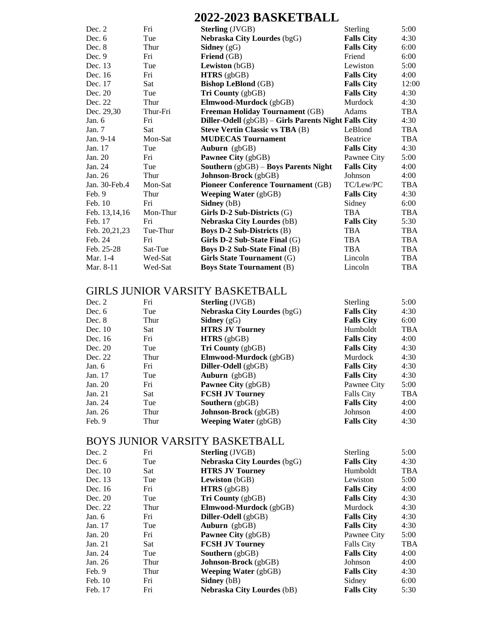## **2022-2023 BASKETBALL**

| Dec. 2          | Fri      | <b>Sterling</b> (JVGB)                               | <b>Sterling</b>   | 5:00       |
|-----------------|----------|------------------------------------------------------|-------------------|------------|
| Dec. $6$        | Tue      | <b>Nebraska City Lourdes (bgG)</b>                   | <b>Falls City</b> | 4:30       |
| Dec. 8          | Thur     | Sidney $(gG)$                                        | <b>Falls City</b> | 6:00       |
| Dec. $9$        | Fri      | <b>Friend</b> (GB)                                   | Friend            | 6:00       |
| Dec. 13         | Tue      | <b>Lewiston</b> (bGB)                                | Lewiston          | 5:00       |
| Dec. 16         | Fri      | $HTRS$ (gbGB)                                        | <b>Falls City</b> | 4:00       |
| Dec. 17         | Sat      | <b>Bishop LeBlond (GB)</b>                           | <b>Falls City</b> | 12:00      |
| Dec. 20         | Tue      | Tri County (gbGB)                                    | <b>Falls City</b> | 4:30       |
| Dec. 22         | Thur     | Elmwood-Murdock (gbGB)                               | <b>Murdock</b>    | 4:30       |
| Dec. 29,30      | Thur-Fri | <b>Freeman Holiday Tournament (GB)</b>               | Adams             | <b>TBA</b> |
| Jan. $6$        | Fri      | Diller-Odell (gbGB) – Girls Parents Night Falls City |                   | 4:30       |
| Jan. $7$        | Sat.     | <b>Steve Vertin Classic vs TBA (B)</b>               | LeBlond           | <b>TBA</b> |
| Jan. 9-14       | Mon-Sat  | <b>MUDECAS Tournament</b>                            | <b>Beatrice</b>   | <b>TBA</b> |
| Jan. 17         | Tue      | Auburn $(gbGB)$                                      | <b>Falls City</b> | 4:30       |
| Jan. 20         | Fri      | <b>Pawnee City</b> (gbGB)                            | Pawnee City       | 5:00       |
| Jan. 24         | Tue      | Southern (gbGB) - Boys Parents Night                 | <b>Falls City</b> | 4:00       |
| Jan. 26         | Thur     | Johnson-Brock (gbGB)                                 | Johnson           | 4:00       |
| Jan. 30-Feb.4   | Mon-Sat  | <b>Pioneer Conference Tournament (GB)</b>            | TC/Lew/PC         | <b>TBA</b> |
| Feb. 9          | Thur     | <b>Weeping Water</b> $(gbGB)$                        | <b>Falls City</b> | 4:30       |
| Feb. 10         | Fri      | Sidney (bB)                                          | Sidney            | 6:00       |
| Feb. 13, 14, 16 | Mon-Thur | Girls $D-2$ Sub-Districts $(G)$                      | <b>TBA</b>        | <b>TBA</b> |
| Feb. 17         | Fri      | <b>Nebraska City Lourdes (bB)</b>                    | <b>Falls City</b> | 5:30       |
| Feb. 20,21,23   | Tue-Thur | <b>Boys D-2 Sub-Districts (B)</b>                    | <b>TBA</b>        | <b>TBA</b> |
| Feb. 24         | Fri      | Girls $D-2$ Sub-State Final $(G)$                    | <b>TBA</b>        | TBA        |
| Feb. 25-28      | Sat-Tue  | <b>Boys D-2 Sub-State Final (B)</b>                  | <b>TBA</b>        | TBA        |
| Mar. 1-4        | Wed-Sat  | <b>Girls State Tournament (G)</b>                    | Lincoln           | <b>TBA</b> |
| Mar. 8-11       | Wed-Sat  | <b>Boys State Tournament (B)</b>                     | Lincoln           | TBA        |

#### GIRLS JUNIOR VARSITY BASKETBALL

| Dec. $2$  | Fri  | <b>Sterling</b> (JVGB)             | <b>Sterling</b>   | 5:00       |
|-----------|------|------------------------------------|-------------------|------------|
| Dec. $6$  | Tue  | <b>Nebraska City Lourdes (bgG)</b> | <b>Falls City</b> | 4:30       |
| Dec. 8    | Thur | <b>Sidney</b> $(gG)$               | <b>Falls City</b> | 6:00       |
| Dec. $10$ | Sat  | <b>HTRS JV Tourney</b>             | Humboldt          | <b>TBA</b> |
| Dec. 16   | Fri  | $HTRS$ (gbGB)                      | <b>Falls City</b> | 4:00       |
| Dec. 20   | Tue  | Tri County (gbGB)                  | <b>Falls City</b> | 4:30       |
| Dec. 22   | Thur | <b>Elmwood-Murdock</b> (gbGB)      | <b>Murdock</b>    | 4:30       |
| Jan. $6$  | Fri  | <b>Diller-Odell</b> (gbGB)         | <b>Falls City</b> | 4:30       |
| Jan. 17   | Tue  | Auburn $(gbGB)$                    | <b>Falls City</b> | 4:30       |
| Jan. 20   | Fri  | <b>Pawnee City</b> (gbGB)          | Pawnee City       | 5:00       |
| Jan. $21$ | Sat  | <b>FCSH JV Tourney</b>             | <b>Falls City</b> | <b>TBA</b> |
| Jan. 24   | Tue  | <b>Southern</b> $(\text{gbGB})$    | <b>Falls City</b> | 4:00       |
| Jan. 26   | Thur | <b>Johnson-Brock</b> (gbGB)        | Johnson           | 4:00       |
| Feb. 9    | Thur | <b>Weeping Water</b> $(gbGB)$      | <b>Falls City</b> | 4:30       |
|           |      |                                    |                   |            |

### BOYS JUNIOR VARSITY BASKETBALL

| Dec. $2$  | Fri  | <b>Sterling</b> (JVGB)             | <b>Sterling</b>   | 5:00       |
|-----------|------|------------------------------------|-------------------|------------|
| Dec. $6$  | Tue  | <b>Nebraska City Lourdes (bgG)</b> | <b>Falls City</b> | 4:30       |
| Dec. $10$ | Sat. | <b>HTRS JV Tourney</b>             | Humboldt          | <b>TBA</b> |
| Dec. 13   | Tue  | <b>Lewiston</b> (bGB)              | Lewiston          | 5:00       |
| Dec. 16   | Fri  | $HTRS$ (gbGB)                      | <b>Falls City</b> | 4:00       |
| Dec. 20   | Tue  | <b>Tri County</b> (gbGB)           | <b>Falls City</b> | 4:30       |
| Dec. 22   | Thur | <b>Elmwood-Murdock</b> (gbGB)      | Murdock           | 4:30       |
| Jan. $6$  | Fri  | Diller-Odell (gbGB)                | <b>Falls City</b> | 4:30       |
| Jan. 17   | Tue  | Auburn $(gbGB)$                    | <b>Falls City</b> | 4:30       |
| Jan. 20   | Fri  | <b>Pawnee City</b> (gbGB)          | Pawnee City       | 5:00       |
| Jan. 21   | Sat  | <b>FCSH JV Tourney</b>             | <b>Falls City</b> | <b>TBA</b> |
| Jan. 24   | Tue  | <b>Southern</b> (gbGB)             | <b>Falls City</b> | 4:00       |
| Jan. 26   | Thur | <b>Johnson-Brock</b> (gbGB)        | Johnson           | 4:00       |
| Feb. 9    | Thur | <b>Weeping Water</b> (gbGB)        | <b>Falls City</b> | 4:30       |
| Feb. 10   | Fri  | <b>Sidney</b> (bB)                 | Sidney            | 6:00       |
| Feb. 17   | Fri  | <b>Nebraska City Lourdes (bB)</b>  | <b>Falls City</b> | 5:30       |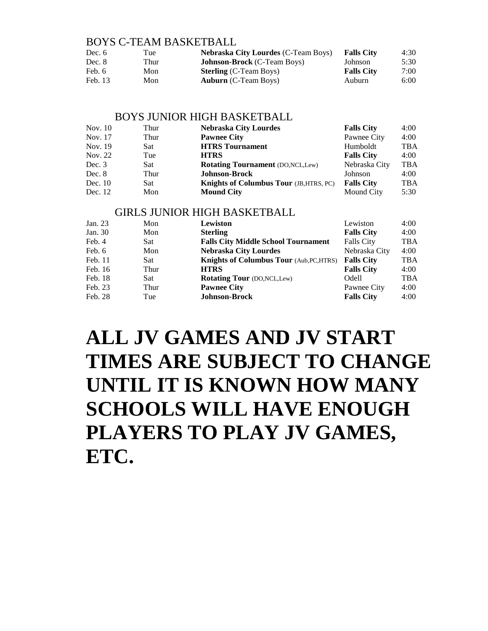#### BOYS C-TEAM BASKETBALL

| Dec. 6  | Tue  | <b>Nebraska City Lourdes (C-Team Boys)</b> | <b>Falls City</b> | 4:30 |
|---------|------|--------------------------------------------|-------------------|------|
| Dec. 8  | Thur | <b>Johnson-Brock</b> (C-Team Boys)         | Johnson           | 5:30 |
| Feb. 6  | Mon  | <b>Sterling</b> (C-Team Boys)              | <b>Falls City</b> | 7:00 |
| Feb. 13 | Mon  | <b>Auburn</b> (C-Team Boys)                | Auburn            | 6:00 |

#### BOYS JUNIOR HIGH BASKETBALL

| Nov. 10   | Thur | <b>Nebraska City Lourdes</b>                   | <b>Falls City</b> | 4:00       |
|-----------|------|------------------------------------------------|-------------------|------------|
| Nov. 17   | Thur | <b>Pawnee City</b>                             | Pawnee City       | 4:00       |
| Nov. 19   | Sat  | <b>HTRS</b> Tournament                         | Humboldt          | <b>TBA</b> |
| Nov. 22   | Tue  | <b>HTRS</b>                                    | <b>Falls City</b> | 4:00       |
| Dec. 3    | Sat  | <b>Rotating Tournament (DO, NCL, Lew)</b>      | Nebraska City     | <b>TBA</b> |
| Dec. 8    | Thur | <b>Johnson-Brock</b>                           | Johnson           | 4:00       |
| Dec. $10$ | Sat  | <b>Knights of Columbus Tour</b> (JB, HTRS, PC) | <b>Falls City</b> | <b>TBA</b> |
| Dec. 12   | Mon  | <b>Mound City</b>                              | Mound City        | 5:30       |

#### GIRLS JUNIOR HIGH BASKETBALL

| Jan. 23 | Mon  | Lewiston                                        | Lewiston          | 4:00       |
|---------|------|-------------------------------------------------|-------------------|------------|
| Jan. 30 | Mon  | <b>Sterling</b>                                 | <b>Falls City</b> | 4:00       |
| Feb. 4  | Sat  | <b>Falls City Middle School Tournament</b>      | <b>Falls City</b> | <b>TBA</b> |
| Feb. 6  | Mon  | <b>Nebraska City Lourdes</b>                    | Nebraska City     | 4:00       |
| Feb. 11 | Sat  | <b>Knights of Columbus Tour (Aub, PC, HTRS)</b> | <b>Falls City</b> | <b>TBA</b> |
| Feb. 16 | Thur | <b>HTRS</b>                                     | <b>Falls City</b> | 4:00       |
| Feb. 18 | Sat  | <b>Rotating Tour</b> (DO, NCL, Lew)             | Odell             | <b>TBA</b> |
| Feb. 23 | Thur | <b>Pawnee City</b>                              | Pawnee City       | 4:00       |
| Feb. 28 | Tue  | <b>Johnson-Brock</b>                            | <b>Falls City</b> | 4:00       |
|         |      |                                                 |                   |            |

# **ALL JV GAMES AND JV START TIMES ARE SUBJECT TO CHANGE UNTIL IT IS KNOWN HOW MANY SCHOOLS WILL HAVE ENOUGH PLAYERS TO PLAY JV GAMES, ETC.**